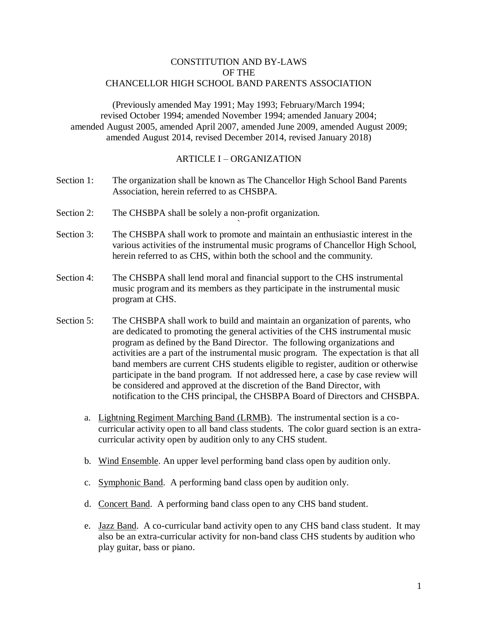## CONSTITUTION AND BY-LAWS OF THE CHANCELLOR HIGH SCHOOL BAND PARENTS ASSOCIATION

(Previously amended May 1991; May 1993; February/March 1994; revised October 1994; amended November 1994; amended January 2004; amended August 2005, amended April 2007, amended June 2009, amended August 2009; amended August 2014, revised December 2014, revised January 2018)

#### ARTICLE I – ORGANIZATION

- Section 1: The organization shall be known as The Chancellor High School Band Parents Association, herein referred to as CHSBPA.
- Section 2: The CHSBPA shall be solely a non-profit organization.
- Section 3: The CHSBPA shall work to promote and maintain an enthusiastic interest in the various activities of the instrumental music programs of Chancellor High School, herein referred to as CHS, within both the school and the community.

`

- Section 4: The CHSBPA shall lend moral and financial support to the CHS instrumental music program and its members as they participate in the instrumental music program at CHS.
- Section 5: The CHSBPA shall work to build and maintain an organization of parents, who are dedicated to promoting the general activities of the CHS instrumental music program as defined by the Band Director. The following organizations and activities are a part of the instrumental music program. The expectation is that all band members are current CHS students eligible to register, audition or otherwise participate in the band program. If not addressed here, a case by case review will be considered and approved at the discretion of the Band Director, with notification to the CHS principal, the CHSBPA Board of Directors and CHSBPA.
	- a. Lightning Regiment Marching Band (LRMB). The instrumental section is a cocurricular activity open to all band class students. The color guard section is an extracurricular activity open by audition only to any CHS student.
	- b. Wind Ensemble. An upper level performing band class open by audition only.
	- c. Symphonic Band. A performing band class open by audition only.
	- d. Concert Band. A performing band class open to any CHS band student.
	- e. Jazz Band. A co-curricular band activity open to any CHS band class student. It may also be an extra-curricular activity for non-band class CHS students by audition who play guitar, bass or piano.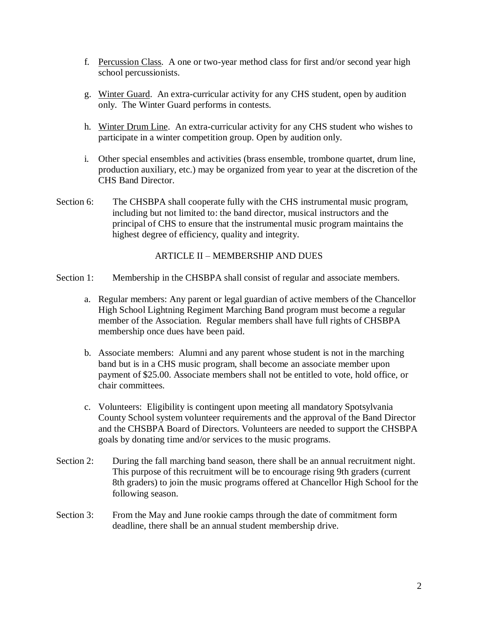- f. Percussion Class. A one or two-year method class for first and/or second year high school percussionists.
- g. Winter Guard. An extra-curricular activity for any CHS student, open by audition only. The Winter Guard performs in contests.
- h. Winter Drum Line. An extra-curricular activity for any CHS student who wishes to participate in a winter competition group. Open by audition only.
- i. Other special ensembles and activities (brass ensemble, trombone quartet, drum line, production auxiliary, etc.) may be organized from year to year at the discretion of the CHS Band Director.
- Section 6: The CHSBPA shall cooperate fully with the CHS instrumental music program, including but not limited to: the band director, musical instructors and the principal of CHS to ensure that the instrumental music program maintains the highest degree of efficiency, quality and integrity.

## ARTICLE II – MEMBERSHIP AND DUES

- Section 1: Membership in the CHSBPA shall consist of regular and associate members.
	- a. Regular members: Any parent or legal guardian of active members of the Chancellor High School Lightning Regiment Marching Band program must become a regular member of the Association. Regular members shall have full rights of CHSBPA membership once dues have been paid.
	- b. Associate members: Alumni and any parent whose student is not in the marching band but is in a CHS music program, shall become an associate member upon payment of \$25.00. Associate members shall not be entitled to vote, hold office, or chair committees.
	- c. Volunteers: Eligibility is contingent upon meeting all mandatory Spotsylvania County School system volunteer requirements and the approval of the Band Director and the CHSBPA Board of Directors. Volunteers are needed to support the CHSBPA goals by donating time and/or services to the music programs.
- Section 2: During the fall marching band season, there shall be an annual recruitment night. This purpose of this recruitment will be to encourage rising 9th graders (current 8th graders) to join the music programs offered at Chancellor High School for the following season.
- Section 3: From the May and June rookie camps through the date of commitment form deadline, there shall be an annual student membership drive.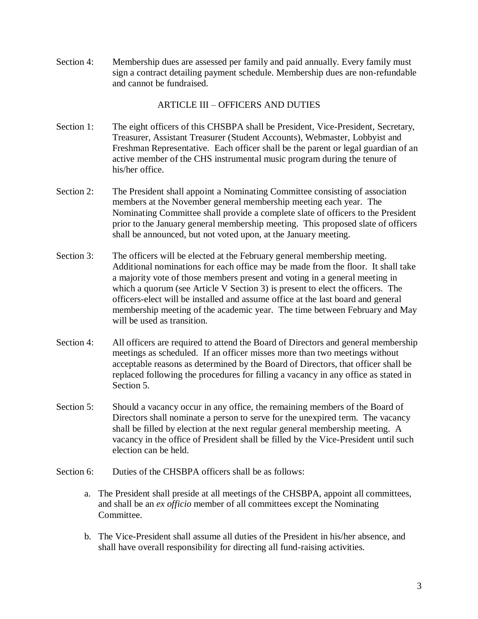Section 4: Membership dues are assessed per family and paid annually. Every family must sign a contract detailing payment schedule. Membership dues are non-refundable and cannot be fundraised.

## ARTICLE III – OFFICERS AND DUTIES

- Section 1: The eight officers of this CHSBPA shall be President, Vice-President, Secretary, Treasurer, Assistant Treasurer (Student Accounts), Webmaster, Lobbyist and Freshman Representative. Each officer shall be the parent or legal guardian of an active member of the CHS instrumental music program during the tenure of his/her office.
- Section 2: The President shall appoint a Nominating Committee consisting of association members at the November general membership meeting each year. The Nominating Committee shall provide a complete slate of officers to the President prior to the January general membership meeting. This proposed slate of officers shall be announced, but not voted upon, at the January meeting.
- Section 3: The officers will be elected at the February general membership meeting. Additional nominations for each office may be made from the floor. It shall take a majority vote of those members present and voting in a general meeting in which a quorum (see Article V Section 3) is present to elect the officers. The officers-elect will be installed and assume office at the last board and general membership meeting of the academic year. The time between February and May will be used as transition.
- Section 4: All officers are required to attend the Board of Directors and general membership meetings as scheduled. If an officer misses more than two meetings without acceptable reasons as determined by the Board of Directors, that officer shall be replaced following the procedures for filling a vacancy in any office as stated in Section 5.
- Section 5: Should a vacancy occur in any office, the remaining members of the Board of Directors shall nominate a person to serve for the unexpired term. The vacancy shall be filled by election at the next regular general membership meeting. A vacancy in the office of President shall be filled by the Vice-President until such election can be held.
- Section 6: Duties of the CHSBPA officers shall be as follows:
	- a. The President shall preside at all meetings of the CHSBPA, appoint all committees, and shall be an *ex officio* member of all committees except the Nominating Committee.
	- b. The Vice-President shall assume all duties of the President in his/her absence, and shall have overall responsibility for directing all fund-raising activities.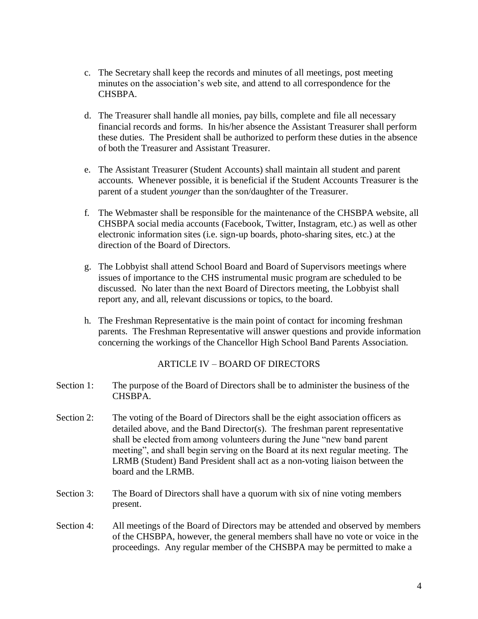- c. The Secretary shall keep the records and minutes of all meetings, post meeting minutes on the association's web site, and attend to all correspondence for the CHSBPA.
- d. The Treasurer shall handle all monies, pay bills, complete and file all necessary financial records and forms. In his/her absence the Assistant Treasurer shall perform these duties. The President shall be authorized to perform these duties in the absence of both the Treasurer and Assistant Treasurer.
- e. The Assistant Treasurer (Student Accounts) shall maintain all student and parent accounts. Whenever possible, it is beneficial if the Student Accounts Treasurer is the parent of a student *younger* than the son/daughter of the Treasurer.
- f. The Webmaster shall be responsible for the maintenance of the CHSBPA website, all CHSBPA social media accounts (Facebook, Twitter, Instagram, etc.) as well as other electronic information sites (i.e. sign-up boards, photo-sharing sites, etc.) at the direction of the Board of Directors.
- g. The Lobbyist shall attend School Board and Board of Supervisors meetings where issues of importance to the CHS instrumental music program are scheduled to be discussed. No later than the next Board of Directors meeting, the Lobbyist shall report any, and all, relevant discussions or topics, to the board.
- h. The Freshman Representative is the main point of contact for incoming freshman parents. The Freshman Representative will answer questions and provide information concerning the workings of the Chancellor High School Band Parents Association.

### ARTICLE IV – BOARD OF DIRECTORS

- Section 1: The purpose of the Board of Directors shall be to administer the business of the CHSBPA.
- Section 2: The voting of the Board of Directors shall be the eight association officers as detailed above, and the Band Director(s). The freshman parent representative shall be elected from among volunteers during the June "new band parent meeting", and shall begin serving on the Board at its next regular meeting. The LRMB (Student) Band President shall act as a non-voting liaison between the board and the LRMB.
- Section 3: The Board of Directors shall have a quorum with six of nine voting members present.
- Section 4: All meetings of the Board of Directors may be attended and observed by members of the CHSBPA, however, the general members shall have no vote or voice in the proceedings. Any regular member of the CHSBPA may be permitted to make a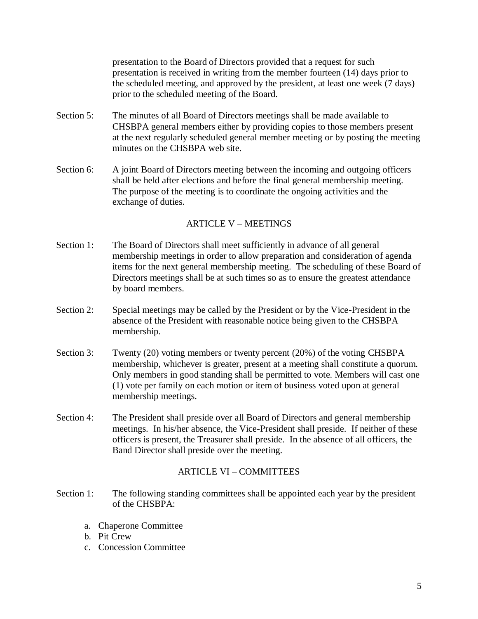presentation to the Board of Directors provided that a request for such presentation is received in writing from the member fourteen (14) days prior to the scheduled meeting, and approved by the president, at least one week (7 days) prior to the scheduled meeting of the Board.

- Section 5: The minutes of all Board of Directors meetings shall be made available to CHSBPA general members either by providing copies to those members present at the next regularly scheduled general member meeting or by posting the meeting minutes on the CHSBPA web site.
- Section 6: A joint Board of Directors meeting between the incoming and outgoing officers shall be held after elections and before the final general membership meeting. The purpose of the meeting is to coordinate the ongoing activities and the exchange of duties.

### ARTICLE V – MEETINGS

- Section 1: The Board of Directors shall meet sufficiently in advance of all general membership meetings in order to allow preparation and consideration of agenda items for the next general membership meeting. The scheduling of these Board of Directors meetings shall be at such times so as to ensure the greatest attendance by board members.
- Section 2: Special meetings may be called by the President or by the Vice-President in the absence of the President with reasonable notice being given to the CHSBPA membership.
- Section 3: Twenty (20) voting members or twenty percent (20%) of the voting CHSBPA membership, whichever is greater, present at a meeting shall constitute a quorum. Only members in good standing shall be permitted to vote. Members will cast one (1) vote per family on each motion or item of business voted upon at general membership meetings.
- Section 4: The President shall preside over all Board of Directors and general membership meetings. In his/her absence, the Vice-President shall preside. If neither of these officers is present, the Treasurer shall preside. In the absence of all officers, the Band Director shall preside over the meeting.

### ARTICLE VI – COMMITTEES

- Section 1: The following standing committees shall be appointed each year by the president of the CHSBPA:
	- a. Chaperone Committee
	- b. Pit Crew
	- c. Concession Committee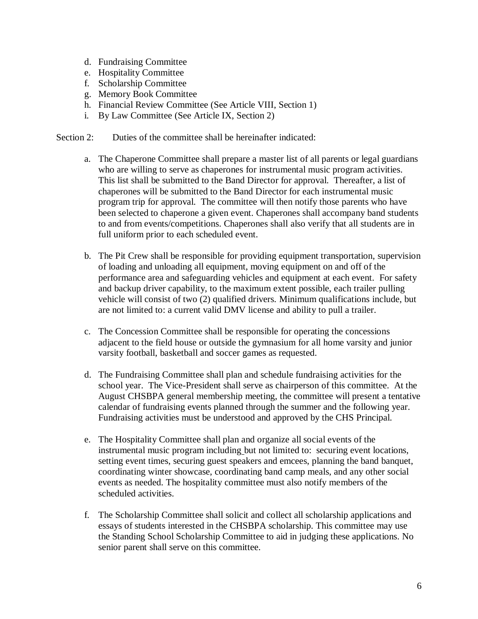- d. Fundraising Committee
- e. Hospitality Committee
- f. Scholarship Committee
- g. Memory Book Committee
- h. Financial Review Committee (See Article VIII, Section 1)
- i. By Law Committee (See Article IX, Section 2)
- Section 2: Duties of the committee shall be hereinafter indicated:
	- a. The Chaperone Committee shall prepare a master list of all parents or legal guardians who are willing to serve as chaperones for instrumental music program activities. This list shall be submitted to the Band Director for approval. Thereafter, a list of chaperones will be submitted to the Band Director for each instrumental music program trip for approval. The committee will then notify those parents who have been selected to chaperone a given event. Chaperones shall accompany band students to and from events/competitions. Chaperones shall also verify that all students are in full uniform prior to each scheduled event.
	- b. The Pit Crew shall be responsible for providing equipment transportation, supervision of loading and unloading all equipment, moving equipment on and off of the performance area and safeguarding vehicles and equipment at each event. For safety and backup driver capability, to the maximum extent possible, each trailer pulling vehicle will consist of two (2) qualified drivers. Minimum qualifications include, but are not limited to: a current valid DMV license and ability to pull a trailer.
	- c. The Concession Committee shall be responsible for operating the concessions adjacent to the field house or outside the gymnasium for all home varsity and junior varsity football, basketball and soccer games as requested.
	- d. The Fundraising Committee shall plan and schedule fundraising activities for the school year. The Vice-President shall serve as chairperson of this committee. At the August CHSBPA general membership meeting, the committee will present a tentative calendar of fundraising events planned through the summer and the following year. Fundraising activities must be understood and approved by the CHS Principal.
	- e. The Hospitality Committee shall plan and organize all social events of the instrumental music program including but not limited to: securing event locations, setting event times, securing guest speakers and emcees, planning the band banquet, coordinating winter showcase, coordinating band camp meals, and any other social events as needed. The hospitality committee must also notify members of the scheduled activities.
	- f. The Scholarship Committee shall solicit and collect all scholarship applications and essays of students interested in the CHSBPA scholarship. This committee may use the Standing School Scholarship Committee to aid in judging these applications. No senior parent shall serve on this committee.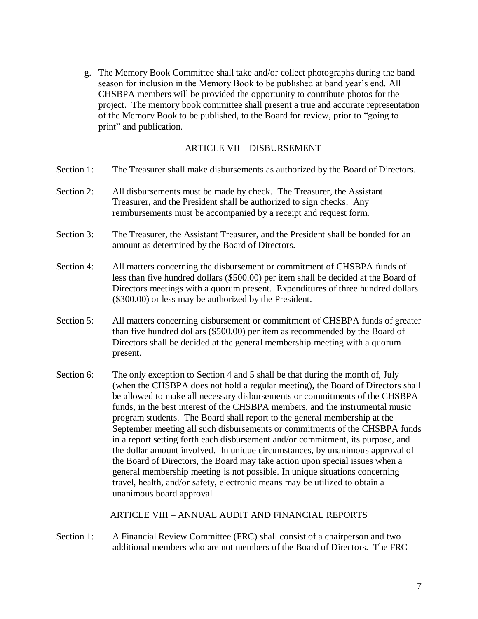g. The Memory Book Committee shall take and/or collect photographs during the band season for inclusion in the Memory Book to be published at band year's end. All CHSBPA members will be provided the opportunity to contribute photos for the project. The memory book committee shall present a true and accurate representation of the Memory Book to be published, to the Board for review, prior to "going to print" and publication.

# ARTICLE VII – DISBURSEMENT

- Section 1: The Treasurer shall make disbursements as authorized by the Board of Directors.
- Section 2: All disbursements must be made by check. The Treasurer, the Assistant Treasurer, and the President shall be authorized to sign checks. Any reimbursements must be accompanied by a receipt and request form.
- Section 3: The Treasurer, the Assistant Treasurer, and the President shall be bonded for an amount as determined by the Board of Directors.
- Section 4: All matters concerning the disbursement or commitment of CHSBPA funds of less than five hundred dollars (\$500.00) per item shall be decided at the Board of Directors meetings with a quorum present. Expenditures of three hundred dollars (\$300.00) or less may be authorized by the President.
- Section 5: All matters concerning disbursement or commitment of CHSBPA funds of greater than five hundred dollars (\$500.00) per item as recommended by the Board of Directors shall be decided at the general membership meeting with a quorum present.
- Section 6: The only exception to Section 4 and 5 shall be that during the month of, July (when the CHSBPA does not hold a regular meeting), the Board of Directors shall be allowed to make all necessary disbursements or commitments of the CHSBPA funds, in the best interest of the CHSBPA members, and the instrumental music program students. The Board shall report to the general membership at the September meeting all such disbursements or commitments of the CHSBPA funds in a report setting forth each disbursement and/or commitment, its purpose, and the dollar amount involved. In unique circumstances, by unanimous approval of the Board of Directors, the Board may take action upon special issues when a general membership meeting is not possible. In unique situations concerning travel, health, and/or safety, electronic means may be utilized to obtain a unanimous board approval.

ARTICLE VIII – ANNUAL AUDIT AND FINANCIAL REPORTS

Section 1: A Financial Review Committee (FRC) shall consist of a chairperson and two additional members who are not members of the Board of Directors. The FRC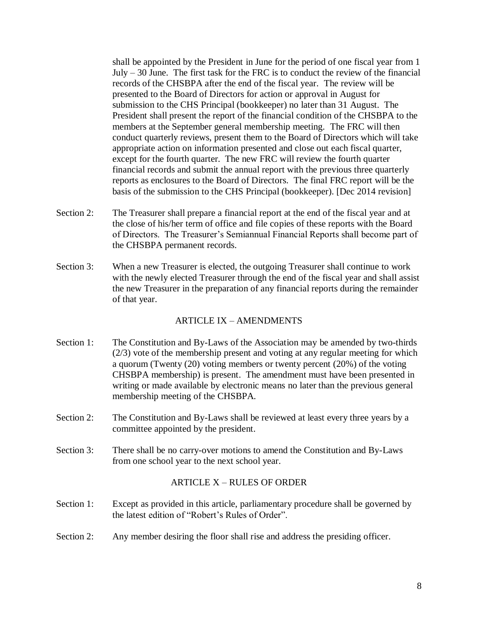shall be appointed by the President in June for the period of one fiscal year from 1 July  $-30$  June. The first task for the FRC is to conduct the review of the financial records of the CHSBPA after the end of the fiscal year. The review will be presented to the Board of Directors for action or approval in August for submission to the CHS Principal (bookkeeper) no later than 31 August. The President shall present the report of the financial condition of the CHSBPA to the members at the September general membership meeting. The FRC will then conduct quarterly reviews, present them to the Board of Directors which will take appropriate action on information presented and close out each fiscal quarter, except for the fourth quarter. The new FRC will review the fourth quarter financial records and submit the annual report with the previous three quarterly reports as enclosures to the Board of Directors. The final FRC report will be the basis of the submission to the CHS Principal (bookkeeper). [Dec 2014 revision]

- Section 2: The Treasurer shall prepare a financial report at the end of the fiscal year and at the close of his/her term of office and file copies of these reports with the Board of Directors. The Treasurer's Semiannual Financial Reports shall become part of the CHSBPA permanent records.
- Section 3: When a new Treasurer is elected, the outgoing Treasurer shall continue to work with the newly elected Treasurer through the end of the fiscal year and shall assist the new Treasurer in the preparation of any financial reports during the remainder of that year.

### ARTICLE IX – AMENDMENTS

- Section 1: The Constitution and By-Laws of the Association may be amended by two-thirds (2/3) vote of the membership present and voting at any regular meeting for which a quorum (Twenty (20) voting members or twenty percent (20%) of the voting CHSBPA membership) is present. The amendment must have been presented in writing or made available by electronic means no later than the previous general membership meeting of the CHSBPA.
- Section 2: The Constitution and By-Laws shall be reviewed at least every three years by a committee appointed by the president.
- Section 3: There shall be no carry-over motions to amend the Constitution and By-Laws from one school year to the next school year.

### ARTICLE X – RULES OF ORDER

- Section 1: Except as provided in this article, parliamentary procedure shall be governed by the latest edition of "Robert's Rules of Order".
- Section 2: Any member desiring the floor shall rise and address the presiding officer.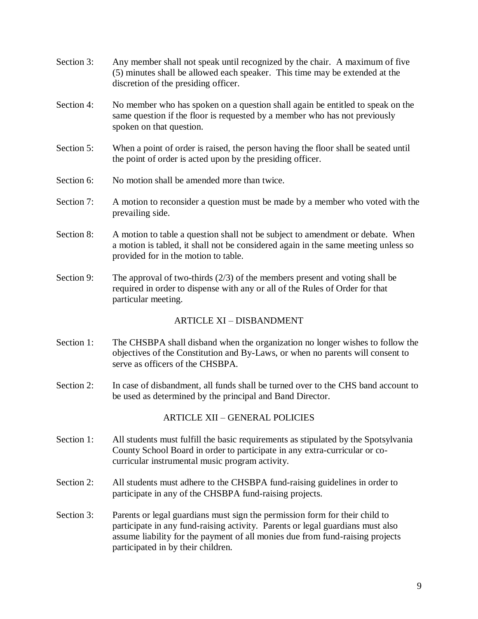- Section 3: Any member shall not speak until recognized by the chair. A maximum of five (5) minutes shall be allowed each speaker. This time may be extended at the discretion of the presiding officer.
- Section 4: No member who has spoken on a question shall again be entitled to speak on the same question if the floor is requested by a member who has not previously spoken on that question.
- Section 5: When a point of order is raised, the person having the floor shall be seated until the point of order is acted upon by the presiding officer.
- Section 6: No motion shall be amended more than twice.
- Section 7: A motion to reconsider a question must be made by a member who voted with the prevailing side.
- Section 8: A motion to table a question shall not be subject to amendment or debate. When a motion is tabled, it shall not be considered again in the same meeting unless so provided for in the motion to table.
- Section 9: The approval of two-thirds  $(2/3)$  of the members present and voting shall be required in order to dispense with any or all of the Rules of Order for that particular meeting.

# ARTICLE XI – DISBANDMENT

- Section 1: The CHSBPA shall disband when the organization no longer wishes to follow the objectives of the Constitution and By-Laws, or when no parents will consent to serve as officers of the CHSBPA.
- Section 2: In case of disbandment, all funds shall be turned over to the CHS band account to be used as determined by the principal and Band Director.

# ARTICLE XII – GENERAL POLICIES

- Section 1: All students must fulfill the basic requirements as stipulated by the Spotsylvania County School Board in order to participate in any extra-curricular or cocurricular instrumental music program activity.
- Section 2: All students must adhere to the CHSBPA fund-raising guidelines in order to participate in any of the CHSBPA fund-raising projects.
- Section 3: Parents or legal guardians must sign the permission form for their child to participate in any fund-raising activity. Parents or legal guardians must also assume liability for the payment of all monies due from fund-raising projects participated in by their children.